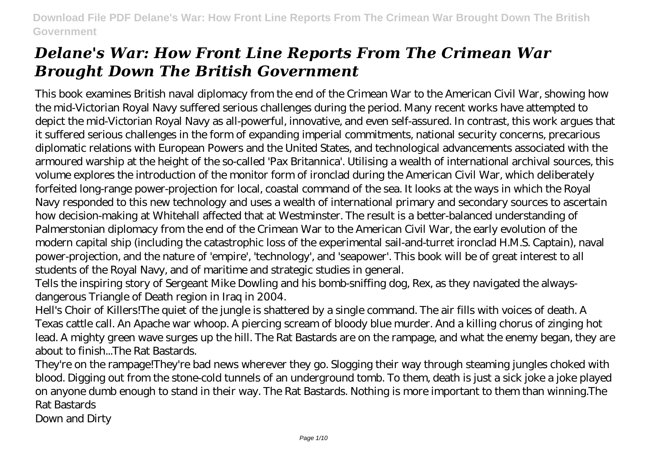This book examines British naval diplomacy from the end of the Crimean War to the American Civil War, showing how the mid-Victorian Royal Navy suffered serious challenges during the period. Many recent works have attempted to depict the mid-Victorian Royal Navy as all-powerful, innovative, and even self-assured. In contrast, this work argues that it suffered serious challenges in the form of expanding imperial commitments, national security concerns, precarious diplomatic relations with European Powers and the United States, and technological advancements associated with the armoured warship at the height of the so-called 'Pax Britannica'. Utilising a wealth of international archival sources, this volume explores the introduction of the monitor form of ironclad during the American Civil War, which deliberately forfeited long-range power-projection for local, coastal command of the sea. It looks at the ways in which the Royal Navy responded to this new technology and uses a wealth of international primary and secondary sources to ascertain how decision-making at Whitehall affected that at Westminster. The result is a better-balanced understanding of Palmerstonian diplomacy from the end of the Crimean War to the American Civil War, the early evolution of the modern capital ship (including the catastrophic loss of the experimental sail-and-turret ironclad H.M.S. Captain), naval power-projection, and the nature of 'empire', 'technology', and 'seapower'. This book will be of great interest to all students of the Royal Navy, and of maritime and strategic studies in general.

Tells the inspiring story of Sergeant Mike Dowling and his bomb-sniffing dog, Rex, as they navigated the alwaysdangerous Triangle of Death region in Iraq in 2004.

Hell's Choir of Killers!The quiet of the jungle is shattered by a single command. The air fills with voices of death. A Texas cattle call. An Apache war whoop. A piercing scream of bloody blue murder. And a killing chorus of zinging hot lead. A mighty green wave surges up the hill. The Rat Bastards are on the rampage, and what the enemy began, they are about to finish...The Rat Bastards.

They're on the rampage!They're bad news wherever they go. Slogging their way through steaming jungles choked with blood. Digging out from the stone-cold tunnels of an underground tomb. To them, death is just a sick joke a joke played on anyone dumb enough to stand in their way. The Rat Bastards. Nothing is more important to them than winning.The Rat Bastards

Down and Dirty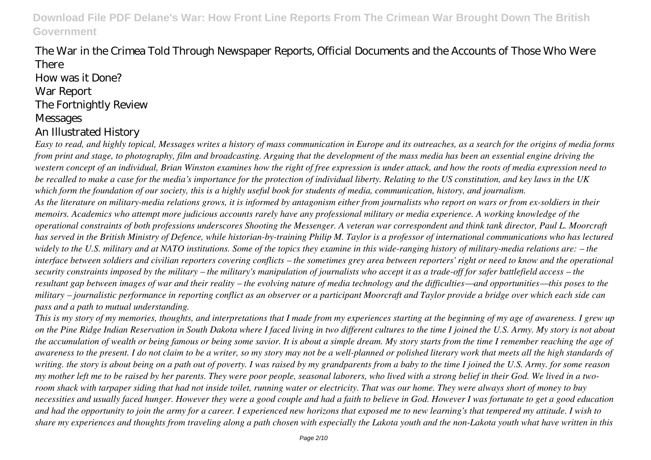## The War in the Crimea Told Through Newspaper Reports, Official Documents and the Accounts of Those Who Were There

How was it Done? War Report The Fortnightly Review **Messages** An Illustrated History

*Easy to read, and highly topical, Messages writes a history of mass communication in Europe and its outreaches, as a search for the origins of media forms from print and stage, to photography, film and broadcasting. Arguing that the development of the mass media has been an essential engine driving the western concept of an individual, Brian Winston examines how the right of free expression is under attack, and how the roots of media expression need to be recalled to make a case for the media's importance for the protection of individual liberty. Relating to the US constitution, and key laws in the UK which form the foundation of our society, this is a highly useful book for students of media, communication, history, and journalism. As the literature on military-media relations grows, it is informed by antagonism either from journalists who report on wars or from ex-soldiers in their memoirs. Academics who attempt more judicious accounts rarely have any professional military or media experience. A working knowledge of the operational constraints of both professions underscores Shooting the Messenger. A veteran war correspondent and think tank director, Paul L. Moorcraft has served in the British Ministry of Defence, while historian-by-training Philip M. Taylor is a professor of international communications who has lectured widely to the U.S. military and at NATO institutions. Some of the topics they examine in this wide-ranging history of military-media relations are: – the interface between soldiers and civilian reporters covering conflicts – the sometimes grey area between reporters' right or need to know and the operational security constraints imposed by the military – the military's manipulation of journalists who accept it as a trade-off for safer battlefield access – the resultant gap between images of war and their reality – the evolving nature of media technology and the difficulties—and opportunities—this poses to the military – journalistic performance in reporting conflict as an observer or a participant Moorcraft and Taylor provide a bridge over which each side can pass and a path to mutual understanding.*

*This is my story of my memories, thoughts, and interpretations that I made from my experiences starting at the beginning of my age of awareness. I grew up on the Pine Ridge Indian Reservation in South Dakota where I faced living in two different cultures to the time I joined the U.S. Army. My story is not about the accumulation of wealth or being famous or being some savior. It is about a simple dream. My story starts from the time I remember reaching the age of awareness to the present. I do not claim to be a writer, so my story may not be a well-planned or polished literary work that meets all the high standards of writing. the story is about being on a path out of poverty. I was raised by my grandparents from a baby to the time I joined the U.S. Army. for some reason my mother left me to be raised by her parents. They were poor people, seasonal laborers, who lived with a strong belief in their God. We lived in a tworoom shack with tarpaper siding that had not inside toilet, running water or electricity. That was our home. They were always short of money to buy necessities and usually faced hunger. However they were a good couple and had a faith to believe in God. However I was fortunate to get a good education and had the opportunity to join the army for a career. I experienced new horizons that exposed me to new learning's that tempered my attitude. I wish to share my experiences and thoughts from traveling along a path chosen with especially the Lakota youth and the non-Lakota youth what have written in this*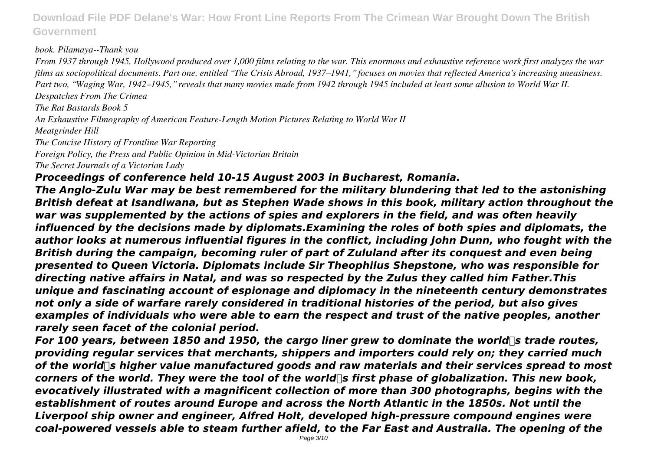#### *book. Pilamaya--Thank you*

*From 1937 through 1945, Hollywood produced over 1,000 films relating to the war. This enormous and exhaustive reference work first analyzes the war films as sociopolitical documents. Part one, entitled "The Crisis Abroad, 1937–1941," focuses on movies that reflected America's increasing uneasiness. Part two, "Waging War, 1942–1945," reveals that many movies made from 1942 through 1945 included at least some allusion to World War II. Despatches From The Crimea*

*The Rat Bastards Book 5*

*An Exhaustive Filmography of American Feature-Length Motion Pictures Relating to World War II*

*Meatgrinder Hill*

*The Concise History of Frontline War Reporting Foreign Policy, the Press and Public Opinion in Mid-Victorian Britain*

*The Secret Journals of a Victorian Lady*

#### *Proceedings of conference held 10-15 August 2003 in Bucharest, Romania.*

*The Anglo-Zulu War may be best remembered for the military blundering that led to the astonishing British defeat at Isandlwana, but as Stephen Wade shows in this book, military action throughout the war was supplemented by the actions of spies and explorers in the field, and was often heavily influenced by the decisions made by diplomats.Examining the roles of both spies and diplomats, the author looks at numerous influential figures in the conflict, including John Dunn, who fought with the British during the campaign, becoming ruler of part of Zululand after its conquest and even being presented to Queen Victoria. Diplomats include Sir Theophilus Shepstone, who was responsible for directing native affairs in Natal, and was so respected by the Zulus they called him Father.This unique and fascinating account of espionage and diplomacy in the nineteenth century demonstrates not only a side of warfare rarely considered in traditional histories of the period, but also gives examples of individuals who were able to earn the respect and trust of the native peoples, another rarely seen facet of the colonial period.*

*For 100 years, between 1850 and 1950, the cargo liner grew to dominate the world*<sup>org</sup> trade routes, *providing regular services that merchants, shippers and importers could rely on; they carried much* of the world<sup>ord</sup> higher value manufactured goods and raw materials and their services spread to most corners of the world. They were the tool of the world<sup>ore</sup> first phase of globalization. This new book, *evocatively illustrated with a magnificent collection of more than 300 photographs, begins with the establishment of routes around Europe and across the North Atlantic in the 1850s. Not until the Liverpool ship owner and engineer, Alfred Holt, developed high-pressure compound engines were coal-powered vessels able to steam further afield, to the Far East and Australia. The opening of the*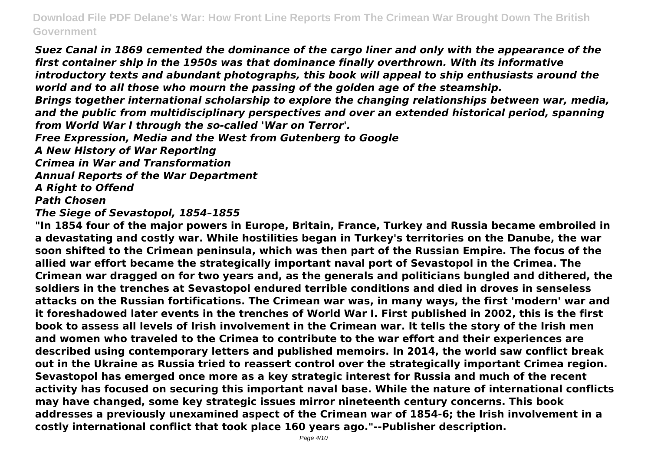*Suez Canal in 1869 cemented the dominance of the cargo liner and only with the appearance of the first container ship in the 1950s was that dominance finally overthrown. With its informative introductory texts and abundant photographs, this book will appeal to ship enthusiasts around the world and to all those who mourn the passing of the golden age of the steamship.*

*Brings together international scholarship to explore the changing relationships between war, media, and the public from multidisciplinary perspectives and over an extended historical period, spanning from World War I through the so-called 'War on Terror'.*

*Free Expression, Media and the West from Gutenberg to Google*

*A New History of War Reporting*

*Crimea in War and Transformation*

*Annual Reports of the War Department*

*A Right to Offend*

*Path Chosen*

*The Siege of Sevastopol, 1854–1855*

**"In 1854 four of the major powers in Europe, Britain, France, Turkey and Russia became embroiled in a devastating and costly war. While hostilities began in Turkey's territories on the Danube, the war soon shifted to the Crimean peninsula, which was then part of the Russian Empire. The focus of the allied war effort became the strategically important naval port of Sevastopol in the Crimea. The Crimean war dragged on for two years and, as the generals and politicians bungled and dithered, the soldiers in the trenches at Sevastopol endured terrible conditions and died in droves in senseless attacks on the Russian fortifications. The Crimean war was, in many ways, the first 'modern' war and it foreshadowed later events in the trenches of World War I. First published in 2002, this is the first book to assess all levels of Irish involvement in the Crimean war. It tells the story of the Irish men and women who traveled to the Crimea to contribute to the war effort and their experiences are described using contemporary letters and published memoirs. In 2014, the world saw conflict break out in the Ukraine as Russia tried to reassert control over the strategically important Crimea region. Sevastopol has emerged once more as a key strategic interest for Russia and much of the recent activity has focused on securing this important naval base. While the nature of international conflicts may have changed, some key strategic issues mirror nineteenth century concerns. This book addresses a previously unexamined aspect of the Crimean war of 1854-6; the Irish involvement in a costly international conflict that took place 160 years ago."--Publisher description.**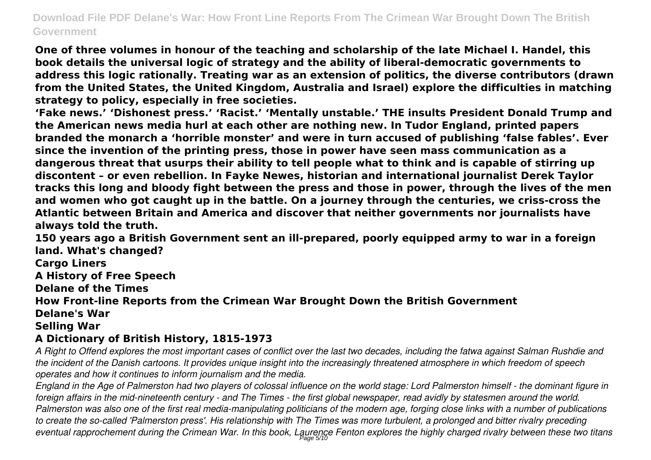**One of three volumes in honour of the teaching and scholarship of the late Michael I. Handel, this book details the universal logic of strategy and the ability of liberal-democratic governments to address this logic rationally. Treating war as an extension of politics, the diverse contributors (drawn from the United States, the United Kingdom, Australia and Israel) explore the difficulties in matching strategy to policy, especially in free societies.**

**'Fake news.' 'Dishonest press.' 'Racist.' 'Mentally unstable.' THE insults President Donald Trump and the American news media hurl at each other are nothing new. In Tudor England, printed papers branded the monarch a 'horrible monster' and were in turn accused of publishing 'false fables'. Ever since the invention of the printing press, those in power have seen mass communication as a dangerous threat that usurps their ability to tell people what to think and is capable of stirring up discontent – or even rebellion. In Fayke Newes, historian and international journalist Derek Taylor tracks this long and bloody fight between the press and those in power, through the lives of the men and women who got caught up in the battle. On a journey through the centuries, we criss-cross the Atlantic between Britain and America and discover that neither governments nor journalists have always told the truth.**

**150 years ago a British Government sent an ill-prepared, poorly equipped army to war in a foreign land. What's changed?**

**Cargo Liners**

**A History of Free Speech**

**Delane of the Times**

**How Front-line Reports from the Crimean War Brought Down the British Government**

#### **Delane's War**

#### **Selling War**

## **A Dictionary of British History, 1815-1973**

*A Right to Offend explores the most important cases of conflict over the last two decades, including the fatwa against Salman Rushdie and the incident of the Danish cartoons. It provides unique insight into the increasingly threatened atmosphere in which freedom of speech operates and how it continues to inform journalism and the media.*

*England in the Age of Palmerston had two players of colossal influence on the world stage: Lord Palmerston himself - the dominant figure in foreign affairs in the mid-nineteenth century - and The Times - the first global newspaper, read avidly by statesmen around the world. Palmerston was also one of the first real media-manipulating politicians of the modern age, forging close links with a number of publications to create the so-called 'Palmerston press'. His relationship with The Times was more turbulent, a prolonged and bitter rivalry preceding* eventual rapprochement during the Crimean War. In this book, Laurence Fenton explores the highly charged rivalry between these two titans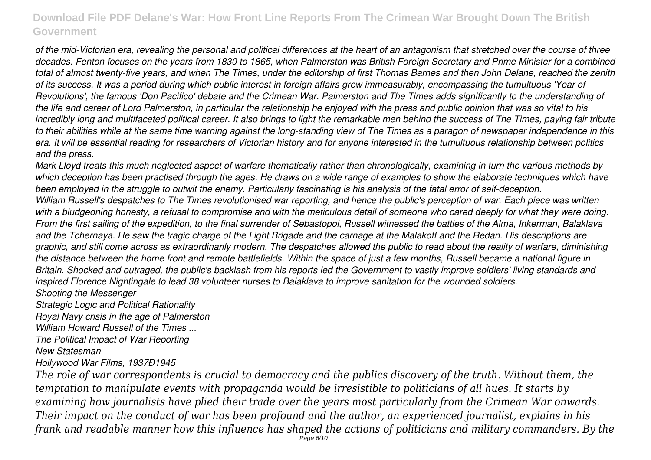*of the mid-Victorian era, revealing the personal and political differences at the heart of an antagonism that stretched over the course of three decades. Fenton focuses on the years from 1830 to 1865, when Palmerston was British Foreign Secretary and Prime Minister for a combined total of almost twenty-five years, and when The Times, under the editorship of first Thomas Barnes and then John Delane, reached the zenith of its success. It was a period during which public interest in foreign affairs grew immeasurably, encompassing the tumultuous 'Year of Revolutions', the famous 'Don Pacifico' debate and the Crimean War. Palmerston and The Times adds significantly to the understanding of the life and career of Lord Palmerston, in particular the relationship he enjoyed with the press and public opinion that was so vital to his incredibly long and multifaceted political career. It also brings to light the remarkable men behind the success of The Times, paying fair tribute to their abilities while at the same time warning against the long-standing view of The Times as a paragon of newspaper independence in this era. It will be essential reading for researchers of Victorian history and for anyone interested in the tumultuous relationship between politics and the press.*

*Mark Lloyd treats this much neglected aspect of warfare thematically rather than chronologically, examining in turn the various methods by which deception has been practised through the ages. He draws on a wide range of examples to show the elaborate techniques which have been employed in the struggle to outwit the enemy. Particularly fascinating is his analysis of the fatal error of self-deception. William Russell's despatches to The Times revolutionised war reporting, and hence the public's perception of war. Each piece was written with a bludgeoning honesty, a refusal to compromise and with the meticulous detail of someone who cared deeply for what they were doing. From the first sailing of the expedition, to the final surrender of Sebastopol, Russell witnessed the battles of the Alma, Inkerman, Balaklava and the Tchernaya. He saw the tragic charge of the Light Brigade and the carnage at the Malakoff and the Redan. His descriptions are graphic, and still come across as extraordinarily modern. The despatches allowed the public to read about the reality of warfare, diminishing the distance between the home front and remote battlefields. Within the space of just a few months, Russell became a national figure in Britain. Shocked and outraged, the public's backlash from his reports led the Government to vastly improve soldiers' living standards and inspired Florence Nightingale to lead 38 volunteer nurses to Balaklava to improve sanitation for the wounded soldiers.*

#### *Shooting the Messenger*

*Strategic Logic and Political Rationality*

*Royal Navy crisis in the age of Palmerston*

*William Howard Russell of the Times ...*

*The Political Impact of War Reporting*

*New Statesman*

*Hollywood War Films, 1937Ð1945*

*The role of war correspondents is crucial to democracy and the publics discovery of the truth. Without them, the temptation to manipulate events with propaganda would be irresistible to politicians of all hues. It starts by examining how journalists have plied their trade over the years most particularly from the Crimean War onwards. Their impact on the conduct of war has been profound and the author, an experienced journalist, explains in his frank and readable manner how this influence has shaped the actions of politicians and military commanders. By the* Page 6/10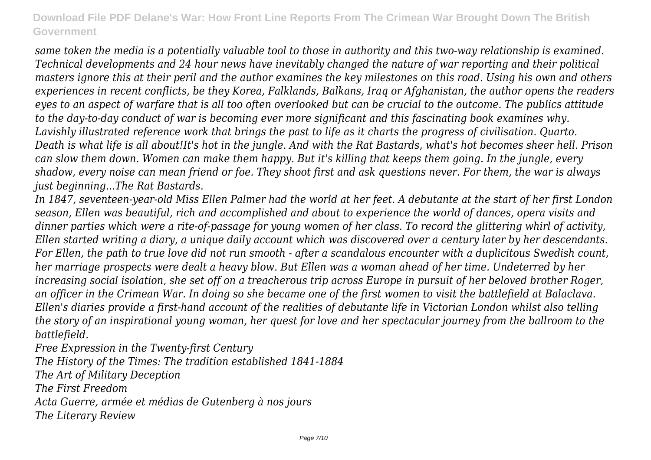*same token the media is a potentially valuable tool to those in authority and this two-way relationship is examined. Technical developments and 24 hour news have inevitably changed the nature of war reporting and their political masters ignore this at their peril and the author examines the key milestones on this road. Using his own and others experiences in recent conflicts, be they Korea, Falklands, Balkans, Iraq or Afghanistan, the author opens the readers eyes to an aspect of warfare that is all too often overlooked but can be crucial to the outcome. The publics attitude to the day-to-day conduct of war is becoming ever more significant and this fascinating book examines why. Lavishly illustrated reference work that brings the past to life as it charts the progress of civilisation. Quarto. Death is what life is all about!It's hot in the jungle. And with the Rat Bastards, what's hot becomes sheer hell. Prison can slow them down. Women can make them happy. But it's killing that keeps them going. In the jungle, every shadow, every noise can mean friend or foe. They shoot first and ask questions never. For them, the war is always just beginning...The Rat Bastards.*

*In 1847, seventeen-year-old Miss Ellen Palmer had the world at her feet. A debutante at the start of her first London season, Ellen was beautiful, rich and accomplished and about to experience the world of dances, opera visits and dinner parties which were a rite-of-passage for young women of her class. To record the glittering whirl of activity, Ellen started writing a diary, a unique daily account which was discovered over a century later by her descendants. For Ellen, the path to true love did not run smooth - after a scandalous encounter with a duplicitous Swedish count, her marriage prospects were dealt a heavy blow. But Ellen was a woman ahead of her time. Undeterred by her increasing social isolation, she set off on a treacherous trip across Europe in pursuit of her beloved brother Roger, an officer in the Crimean War. In doing so she became one of the first women to visit the battlefield at Balaclava. Ellen's diaries provide a first-hand account of the realities of debutante life in Victorian London whilst also telling the story of an inspirational young woman, her quest for love and her spectacular journey from the ballroom to the battlefield.*

*Free Expression in the Twenty-first Century The History of the Times: The tradition established 1841-1884 The Art of Military Deception The First Freedom Acta Guerre, armée et médias de Gutenberg à nos jours The Literary Review*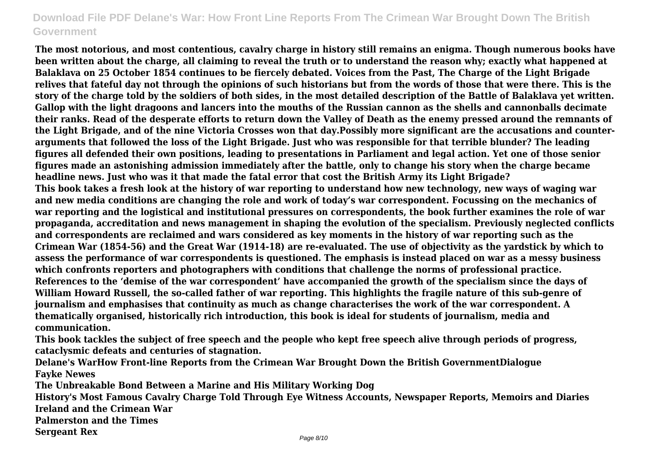**The most notorious, and most contentious, cavalry charge in history still remains an enigma. Though numerous books have been written about the charge, all claiming to reveal the truth or to understand the reason why; exactly what happened at Balaklava on 25 October 1854 continues to be fiercely debated. Voices from the Past, The Charge of the Light Brigade relives that fateful day not through the opinions of such historians but from the words of those that were there. This is the story of the charge told by the soldiers of both sides, in the most detailed description of the Battle of Balaklava yet written. Gallop with the light dragoons and lancers into the mouths of the Russian cannon as the shells and cannonballs decimate their ranks. Read of the desperate efforts to return down the Valley of Death as the enemy pressed around the remnants of the Light Brigade, and of the nine Victoria Crosses won that day.Possibly more significant are the accusations and counterarguments that followed the loss of the Light Brigade. Just who was responsible for that terrible blunder? The leading figures all defended their own positions, leading to presentations in Parliament and legal action. Yet one of those senior figures made an astonishing admission immediately after the battle, only to change his story when the charge became headline news. Just who was it that made the fatal error that cost the British Army its Light Brigade? This book takes a fresh look at the history of war reporting to understand how new technology, new ways of waging war and new media conditions are changing the role and work of today's war correspondent. Focussing on the mechanics of war reporting and the logistical and institutional pressures on correspondents, the book further examines the role of war propaganda, accreditation and news management in shaping the evolution of the specialism. Previously neglected conflicts and correspondents are reclaimed and wars considered as key moments in the history of war reporting such as the Crimean War (1854-56) and the Great War (1914-18) are re-evaluated. The use of objectivity as the yardstick by which to assess the performance of war correspondents is questioned. The emphasis is instead placed on war as a messy business which confronts reporters and photographers with conditions that challenge the norms of professional practice. References to the 'demise of the war correspondent' have accompanied the growth of the specialism since the days of William Howard Russell, the so-called father of war reporting. This highlights the fragile nature of this sub-genre of journalism and emphasises that continuity as much as change characterises the work of the war correspondent. A thematically organised, historically rich introduction, this book is ideal for students of journalism, media and communication.**

**This book tackles the subject of free speech and the people who kept free speech alive through periods of progress, cataclysmic defeats and centuries of stagnation.**

**Delane's WarHow Front-line Reports from the Crimean War Brought Down the British GovernmentDialogue Fayke Newes**

**The Unbreakable Bond Between a Marine and His Military Working Dog**

**History's Most Famous Cavalry Charge Told Through Eye Witness Accounts, Newspaper Reports, Memoirs and Diaries Ireland and the Crimean War**

**Palmerston and the Times**

**Sergeant Rex**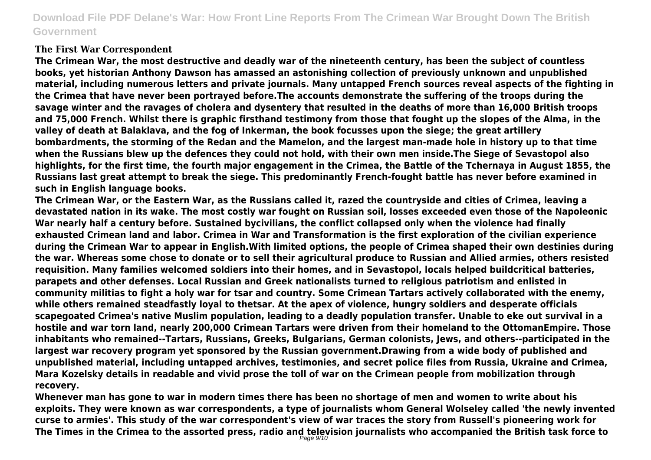#### **The First War Correspondent**

**The Crimean War, the most destructive and deadly war of the nineteenth century, has been the subject of countless books, yet historian Anthony Dawson has amassed an astonishing collection of previously unknown and unpublished material, including numerous letters and private journals. Many untapped French sources reveal aspects of the fighting in the Crimea that have never been portrayed before.The accounts demonstrate the suffering of the troops during the savage winter and the ravages of cholera and dysentery that resulted in the deaths of more than 16,000 British troops and 75,000 French. Whilst there is graphic firsthand testimony from those that fought up the slopes of the Alma, in the valley of death at Balaklava, and the fog of Inkerman, the book focusses upon the siege; the great artillery bombardments, the storming of the Redan and the Mamelon, and the largest man-made hole in history up to that time when the Russians blew up the defences they could not hold, with their own men inside.The Siege of Sevastopol also highlights, for the first time, the fourth major engagement in the Crimea, the Battle of the Tchernaya in August 1855, the Russians last great attempt to break the siege. This predominantly French-fought battle has never before examined in such in English language books.**

**The Crimean War, or the Eastern War, as the Russians called it, razed the countryside and cities of Crimea, leaving a devastated nation in its wake. The most costly war fought on Russian soil, losses exceeded even those of the Napoleonic War nearly half a century before. Sustained bycivilians, the conflict collapsed only when the violence had finally exhausted Crimean land and labor. Crimea in War and Transformation is the first exploration of the civilian experience during the Crimean War to appear in English.With limited options, the people of Crimea shaped their own destinies during the war. Whereas some chose to donate or to sell their agricultural produce to Russian and Allied armies, others resisted requisition. Many families welcomed soldiers into their homes, and in Sevastopol, locals helped buildcritical batteries, parapets and other defenses. Local Russian and Greek nationalists turned to religious patriotism and enlisted in community militias to fight a holy war for tsar and country. Some Crimean Tartars actively collaborated with the enemy, while others remained steadfastly loyal to thetsar. At the apex of violence, hungry soldiers and desperate officials scapegoated Crimea's native Muslim population, leading to a deadly population transfer. Unable to eke out survival in a hostile and war torn land, nearly 200,000 Crimean Tartars were driven from their homeland to the OttomanEmpire. Those inhabitants who remained--Tartars, Russians, Greeks, Bulgarians, German colonists, Jews, and others--participated in the largest war recovery program yet sponsored by the Russian government.Drawing from a wide body of published and unpublished material, including untapped archives, testimonies, and secret police files from Russia, Ukraine and Crimea, Mara Kozelsky details in readable and vivid prose the toll of war on the Crimean people from mobilization through recovery.**

**Whenever man has gone to war in modern times there has been no shortage of men and women to write about his exploits. They were known as war correspondents, a type of journalists whom General Wolseley called 'the newly invented curse to armies'. This study of the war correspondent's view of war traces the story from Russell's pioneering work for The Times in the Crimea to the assorted press, radio and television journalists who accompanied the British task force to** Page 9/10